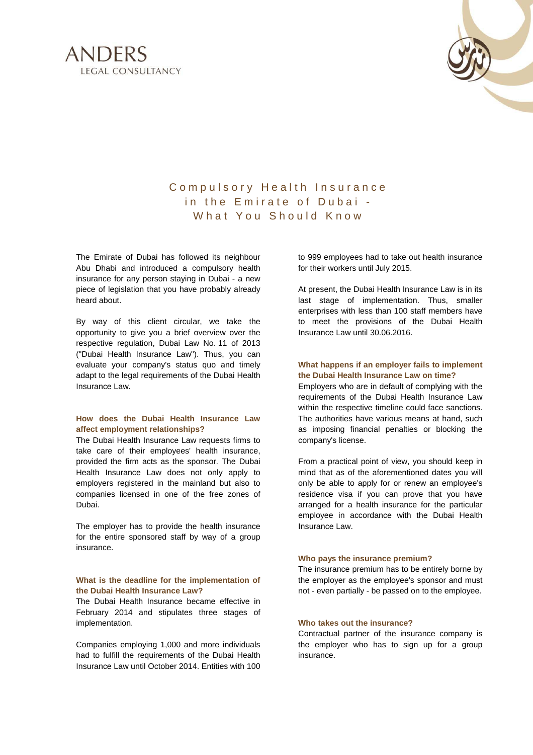



# Compulsory Health Insurance in the Emirate of Dubai -What You Should Know

The Emirate of Dubai has followed its neighbour Abu Dhabi and introduced a compulsory health insurance for any person staying in Dubai - a new piece of legislation that you have probably already heard about.

By way of this client circular, we take the opportunity to give you a brief overview over the respective regulation, Dubai Law No. 11 of 2013 ("Dubai Health Insurance Law"). Thus, you can evaluate your company's status quo and timely adapt to the legal requirements of the Dubai Health Insurance Law.

# **How does the Dubai Health Insurance Law affect employment relationships?**

The Dubai Health Insurance Law requests firms to take care of their employees' health insurance, provided the firm acts as the sponsor. The Dubai Health Insurance Law does not only apply to employers registered in the mainland but also to companies licensed in one of the free zones of Dubai.

The employer has to provide the health insurance for the entire sponsored staff by way of a group insurance.

## **What is the deadline for the implementation of the Dubai Health Insurance Law?**

The Dubai Health Insurance became effective in February 2014 and stipulates three stages of implementation.

Companies employing 1,000 and more individuals had to fulfill the requirements of the Dubai Health Insurance Law until October 2014. Entities with 100

to 999 employees had to take out health insurance for their workers until July 2015.

At present, the Dubai Health Insurance Law is in its last stage of implementation. Thus, smaller enterprises with less than 100 staff members have to meet the provisions of the Dubai Health Insurance Law until 30.06.2016.

#### **What happens if an employer fails to implement the Dubai Health Insurance Law on time?**

Employers who are in default of complying with the requirements of the Dubai Health Insurance Law within the respective timeline could face sanctions. The authorities have various means at hand, such as imposing financial penalties or blocking the company's license.

From a practical point of view, you should keep in mind that as of the aforementioned dates you will only be able to apply for or renew an employee's residence visa if you can prove that you have arranged for a health insurance for the particular employee in accordance with the Dubai Health Insurance Law.

#### **Who pays the insurance premium?**

The insurance premium has to be entirely borne by the employer as the employee's sponsor and must not - even partially - be passed on to the employee.

## **Who takes out the insurance?**

Contractual partner of the insurance company is the employer who has to sign up for a group insurance.